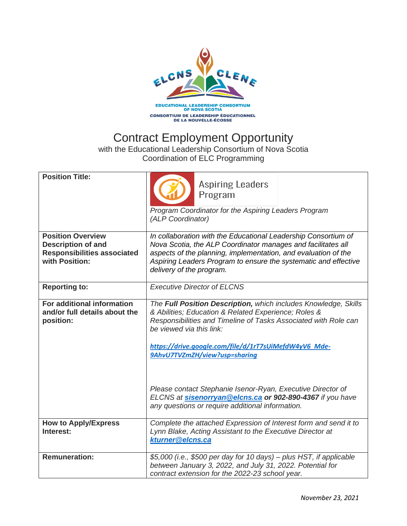

## Contract Employment Opportunity

with the Educational Leadership Consortium of Nova Scotia Coordination of ELC Programming

| <b>Position Title:</b>                                                                                        | <b>Aspiring Leaders</b><br>Program<br>Program Coordinator for the Aspiring Leaders Program                                                                                                                                                                                                                       |
|---------------------------------------------------------------------------------------------------------------|------------------------------------------------------------------------------------------------------------------------------------------------------------------------------------------------------------------------------------------------------------------------------------------------------------------|
|                                                                                                               | (ALP Coordinator)                                                                                                                                                                                                                                                                                                |
| <b>Position Overview</b><br><b>Description of and</b><br><b>Responsibilities associated</b><br>with Position: | In collaboration with the Educational Leadership Consortium of<br>Nova Scotia, the ALP Coordinator manages and facilitates all<br>aspects of the planning, implementation, and evaluation of the<br>Aspiring Leaders Program to ensure the systematic and effective<br>delivery of the program.                  |
| <b>Reporting to:</b>                                                                                          | <b>Executive Director of ELCNS</b>                                                                                                                                                                                                                                                                               |
| For additional information<br>and/or full details about the<br>position:                                      | The Full Position Description, which includes Knowledge, Skills<br>& Abilities; Education & Related Experience; Roles &<br>Responsibilities and Timeline of Tasks Associated with Role can<br>be viewed via this link:<br>https://drive.google.com/file/d/1rT7sUiMefdW4yV6_Mde-<br>9AhvU7TVZmZH/view?usp=sharing |
|                                                                                                               | Please contact Stephanie Isenor-Ryan, Executive Director of<br>ELCNS at sisenorryan@elcns.ca or 902-890-4367 if you have<br>any questions or require additional information.                                                                                                                                     |
| <b>How to Apply/Express</b><br>Interest:                                                                      | Complete the attached Expression of Interest form and send it to<br>Lynn Blake, Acting Assistant to the Executive Director at<br>kturner@elcns.ca                                                                                                                                                                |
| <b>Remuneration:</b>                                                                                          | \$5,000 (i.e., \$500 per day for 10 days) - plus HST, if applicable<br>between January 3, 2022, and July 31, 2022. Potential for<br>contract extension for the 2022-23 school year.                                                                                                                              |